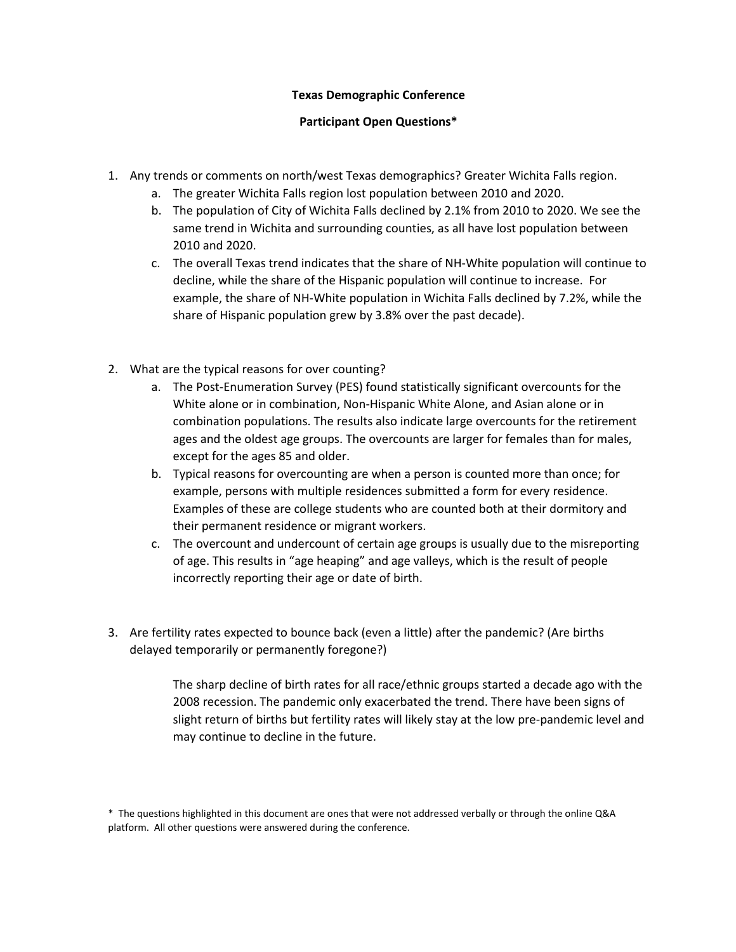## **Texas Demographic Conference**

## **Participant Open Questions\***

- 1. Any trends or comments on north/west Texas demographics? Greater Wichita Falls region.
	- a. The greater Wichita Falls region lost population between 2010 and 2020.
	- b. The population of City of Wichita Falls declined by 2.1% from 2010 to 2020. We see the same trend in Wichita and surrounding counties, as all have lost population between 2010 and 2020.
	- c. The overall Texas trend indicates that the share of NH-White population will continue to decline, while the share of the Hispanic population will continue to increase. For example, the share of NH-White population in Wichita Falls declined by 7.2%, while the share of Hispanic population grew by 3.8% over the past decade).
- 2. What are the typical reasons for over counting?
	- a. The Post-Enumeration Survey (PES) found statistically significant overcounts for the White alone or in combination, Non-Hispanic White Alone, and Asian alone or in combination populations. The results also indicate large overcounts for the retirement ages and the oldest age groups. The overcounts are larger for females than for males, except for the ages 85 and older.
	- b. Typical reasons for overcounting are when a person is counted more than once; for example, persons with multiple residences submitted a form for every residence. Examples of these are college students who are counted both at their dormitory and their permanent residence or migrant workers.
	- c. The overcount and undercount of certain age groups is usually due to the misreporting of age. This results in "age heaping" and age valleys, which is the result of people incorrectly reporting their age or date of birth.
- 3. Are fertility rates expected to bounce back (even a little) after the pandemic? (Are births delayed temporarily or permanently foregone?)

The sharp decline of birth rates for all race/ethnic groups started a decade ago with the 2008 recession. The pandemic only exacerbated the trend. There have been signs of slight return of births but fertility rates will likely stay at the low pre-pandemic level and may continue to decline in the future.

<sup>\*</sup> The questions highlighted in this document are ones that were not addressed verbally or through the online Q&A platform. All other questions were answered during the conference.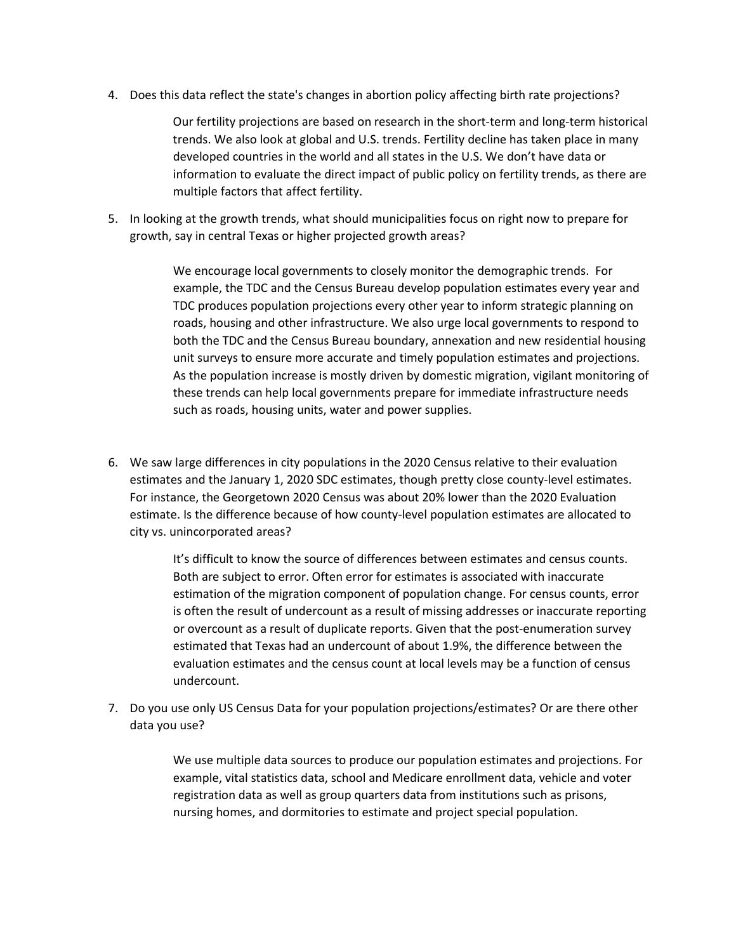4. Does this data reflect the state's changes in abortion policy affecting birth rate projections?

Our fertility projections are based on research in the short-term and long-term historical trends. We also look at global and U.S. trends. Fertility decline has taken place in many developed countries in the world and all states in the U.S. We don't have data or information to evaluate the direct impact of public policy on fertility trends, as there are multiple factors that affect fertility.

5. In looking at the growth trends, what should municipalities focus on right now to prepare for growth, say in central Texas or higher projected growth areas?

> We encourage local governments to closely monitor the demographic trends. For example, the TDC and the Census Bureau develop population estimates every year and TDC produces population projections every other year to inform strategic planning on roads, housing and other infrastructure. We also urge local governments to respond to both the TDC and the Census Bureau boundary, annexation and new residential housing unit surveys to ensure more accurate and timely population estimates and projections. As the population increase is mostly driven by domestic migration, vigilant monitoring of these trends can help local governments prepare for immediate infrastructure needs such as roads, housing units, water and power supplies.

6. We saw large differences in city populations in the 2020 Census relative to their evaluation estimates and the January 1, 2020 SDC estimates, though pretty close county-level estimates. For instance, the Georgetown 2020 Census was about 20% lower than the 2020 Evaluation estimate. Is the difference because of how county-level population estimates are allocated to city vs. unincorporated areas?

> It's difficult to know the source of differences between estimates and census counts. Both are subject to error. Often error for estimates is associated with inaccurate estimation of the migration component of population change. For census counts, error is often the result of undercount as a result of missing addresses or inaccurate reporting or overcount as a result of duplicate reports. Given that the post-enumeration survey estimated that Texas had an undercount of about 1.9%, the difference between the evaluation estimates and the census count at local levels may be a function of census undercount.

7. Do you use only US Census Data for your population projections/estimates? Or are there other data you use?

> We use multiple data sources to produce our population estimates and projections. For example, vital statistics data, school and Medicare enrollment data, vehicle and voter registration data as well as group quarters data from institutions such as prisons, nursing homes, and dormitories to estimate and project special population.